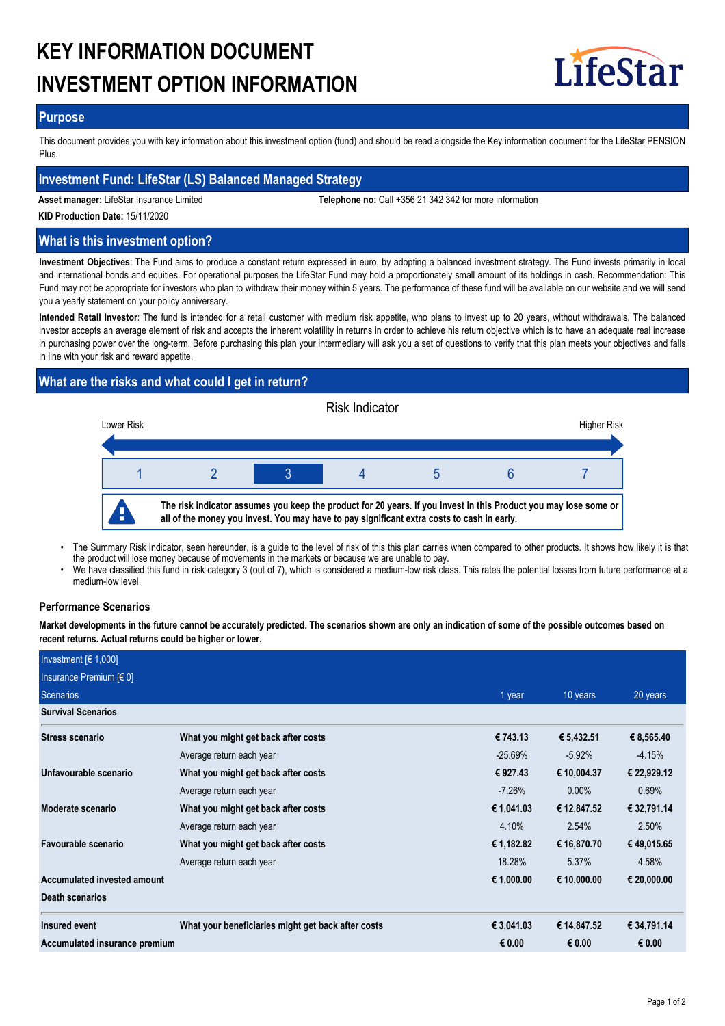# **KEY INFORMATION DOCUMENT INVESTMENT OPTION INFORMATION**



## **Purpose**

This document provides you with key information about this investment option (fund) and should be read alongside the Key information document for the LifeStar PENSION Plus.

## **Investment Fund: LifeStar (LS) Balanced Managed Strategy**

**Asset manager:** LifeStar Insurance Limited **Telephone no:** Call +356 21 342 342 for more information

**KID Production Date:** 15/11/2020

## **What is this investment option?**

**Investment Objectives**: The Fund aims to produce a constant return expressed in euro, by adopting a balanced investment strategy. The Fund invests primarily in local and international bonds and equities. For operational purposes the LifeStar Fund may hold a proportionately small amount of its holdings in cash. Recommendation: This Fund may not be appropriate for investors who plan to withdraw their money within 5 years. The performance of these fund will be available on our website and we will send you a yearly statement on your policy anniversary.

**Intended Retail Investor**: The fund is intended for a retail customer with medium risk appetite, who plans to invest up to 20 years, without withdrawals. The balanced investor accepts an average element of risk and accepts the inherent volatility in returns in order to achieve his return objective which is to have an adequate real increase in purchasing power over the long-term. Before purchasing this plan your intermediary will ask you a set of questions to verify that this plan meets your objectives and falls in line with your risk and reward appetite.

# **What are the risks and what could I get in return?**



- The Summary Risk Indicator, seen hereunder, is a guide to the level of risk of this this plan carries when compared to other products. It shows how likely it is that the product will lose money because of movements in the markets or because we are unable to pay. •
- We have classified this fund in risk category 3 (out of 7), which is considered a medium-low risk class. This rates the potential losses from future performance at a medium-low level. •

## **Performance Scenarios**

**Market developments in the future cannot be accurately predicted. The scenarios shown are only an indication of some of the possible outcomes based on recent returns. Actual returns could be higher or lower.**

| Investment $[6 1,000]$        |                                                    |            |             |             |
|-------------------------------|----------------------------------------------------|------------|-------------|-------------|
| Insurance Premium [€ 0]       |                                                    |            |             |             |
| Scenarios                     |                                                    | 1 year     | 10 years    | 20 years    |
| <b>Survival Scenarios</b>     |                                                    |            |             |             |
| <b>Stress scenario</b>        | What you might get back after costs                | € 743.13   | € 5,432.51  | € 8,565.40  |
|                               | Average return each year                           | $-25.69\%$ | $-5.92\%$   | $-4.15%$    |
| Unfavourable scenario         | What you might get back after costs                | € 927.43   | € 10,004.37 | € 22,929.12 |
|                               | Average return each year                           | $-7.26\%$  | $0.00\%$    | 0.69%       |
| Moderate scenario             | What you might get back after costs                | € 1,041.03 | € 12,847.52 | € 32,791.14 |
|                               | Average return each year                           | 4.10%      | 2.54%       | 2.50%       |
| Favourable scenario           | What you might get back after costs                | € 1,182.82 | € 16,870.70 | € 49,015.65 |
|                               | Average return each year                           | 18.28%     | 5.37%       | 4.58%       |
| Accumulated invested amount   |                                                    | € 1,000.00 | € 10,000.00 | € 20,000.00 |
| <b>Death scenarios</b>        |                                                    |            |             |             |
| Insured event                 | What your beneficiaries might get back after costs | € 3,041.03 | € 14,847.52 | € 34,791.14 |
| Accumulated insurance premium |                                                    | € 0.00     | € 0.00      | € 0.00      |